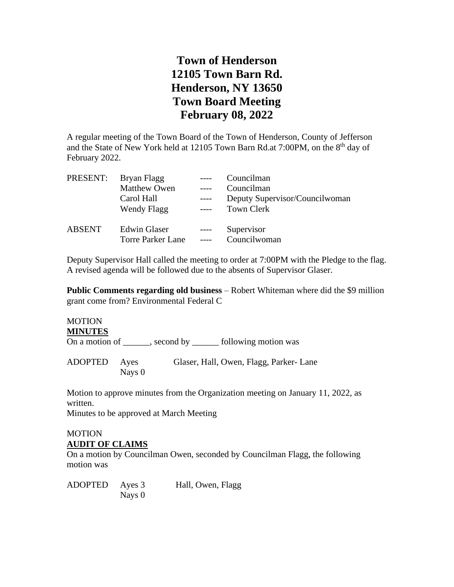## **Town of Henderson 12105 Town Barn Rd. Henderson, NY 13650 Town Board Meeting February 08, 2022**

A regular meeting of the Town Board of the Town of Henderson, County of Jefferson and the State of New York held at 12105 Town Barn Rd.at 7:00PM, on the 8<sup>th</sup> day of February 2022.

| PRESENT:      | Bryan Flagg                                     |                | Councilman                     |
|---------------|-------------------------------------------------|----------------|--------------------------------|
|               | <b>Matthew Owen</b>                             |                | Councilman                     |
|               | Carol Hall                                      |                | Deputy Supervisor/Councilwoman |
|               | Wendy Flagg                                     | $---$          | <b>Town Clerk</b>              |
| <b>ABSENT</b> | <b>Edwin Glaser</b><br><b>Torre Parker Lane</b> | $---$<br>$---$ | Supervisor<br>Councilwoman     |

Deputy Supervisor Hall called the meeting to order at 7:00PM with the Pledge to the flag. A revised agenda will be followed due to the absents of Supervisor Glaser.

**Public Comments regarding old business** – Robert Whiteman where did the \$9 million grant come from? Environmental Federal C

#### **MOTION MINUTES**

On a motion of \_\_\_\_\_, second by \_\_\_\_\_\_ following motion was

ADOPTED Ayes Glaser, Hall, Owen, Flagg, Parker- Lane Nays 0

Motion to approve minutes from the Organization meeting on January 11, 2022, as written.

Minutes to be approved at March Meeting

#### MOTION **AUDIT OF CLAIMS**

On a motion by Councilman Owen, seconded by Councilman Flagg, the following motion was

ADOPTED Ayes 3 Hall, Owen, Flagg Nays 0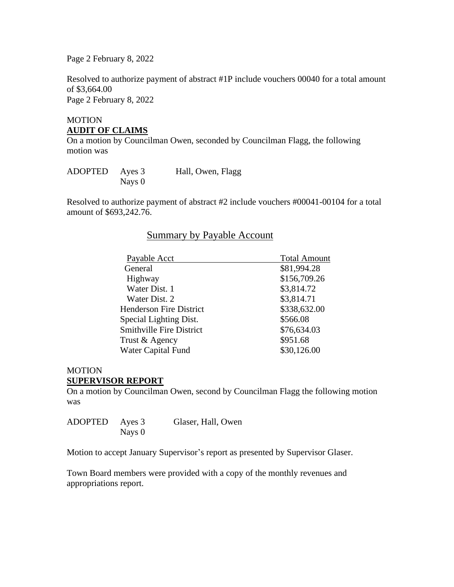Page 2 February 8, 2022

Resolved to authorize payment of abstract #1P include vouchers 00040 for a total amount of \$3,664.00 Page 2 February 8, 2022

## MOTION **AUDIT OF CLAIMS**

On a motion by Councilman Owen, seconded by Councilman Flagg, the following motion was

| ADOPTED Ayes 3 |        | Hall, Owen, Flagg |
|----------------|--------|-------------------|
|                | Nays 0 |                   |

Resolved to authorize payment of abstract #2 include vouchers #00041-00104 for a total amount of \$693,242.76.

### Summary by Payable Account

| Payable Acct                    | <b>Total Amount</b> |
|---------------------------------|---------------------|
| General                         | \$81,994.28         |
| Highway                         | \$156,709.26        |
| Water Dist. 1                   | \$3,814.72          |
| Water Dist. 2                   | \$3,814.71          |
| <b>Henderson Fire District</b>  | \$338,632.00        |
| Special Lighting Dist.          | \$566.08            |
| <b>Smithville Fire District</b> | \$76,634.03         |
| Trust & Agency                  | \$951.68            |
| <b>Water Capital Fund</b>       | \$30,126.00         |
|                                 |                     |

### MOTION

#### **SUPERVISOR REPORT**

On a motion by Councilman Owen, second by Councilman Flagg the following motion was

| ADOPTED Ayes 3 |          | Glaser, Hall, Owen |
|----------------|----------|--------------------|
|                | Nays $0$ |                    |

Motion to accept January Supervisor's report as presented by Supervisor Glaser.

Town Board members were provided with a copy of the monthly revenues and appropriations report.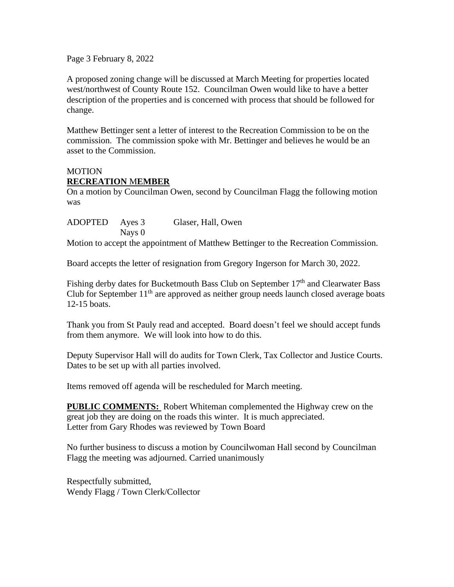Page 3 February 8, 2022

A proposed zoning change will be discussed at March Meeting for properties located west/northwest of County Route 152. Councilman Owen would like to have a better description of the properties and is concerned with process that should be followed for change.

Matthew Bettinger sent a letter of interest to the Recreation Commission to be on the commission. The commission spoke with Mr. Bettinger and believes he would be an asset to the Commission.

### **MOTION RECREATION** M**EMBER**

On a motion by Councilman Owen, second by Councilman Flagg the following motion was

| ADOPTED Ayes 3 |          | Glaser, Hall, Owen |  |
|----------------|----------|--------------------|--|
|                | Nays $0$ |                    |  |

Motion to accept the appointment of Matthew Bettinger to the Recreation Commission.

Board accepts the letter of resignation from Gregory Ingerson for March 30, 2022.

Fishing derby dates for Bucketmouth Bass Club on September  $17<sup>th</sup>$  and Clearwater Bass Club for September  $11<sup>th</sup>$  are approved as neither group needs launch closed average boats 12-15 boats.

Thank you from St Pauly read and accepted. Board doesn't feel we should accept funds from them anymore. We will look into how to do this.

Deputy Supervisor Hall will do audits for Town Clerk, Tax Collector and Justice Courts. Dates to be set up with all parties involved.

Items removed off agenda will be rescheduled for March meeting.

**PUBLIC COMMENTS:** Robert Whiteman complemented the Highway crew on the great job they are doing on the roads this winter. It is much appreciated. Letter from Gary Rhodes was reviewed by Town Board

No further business to discuss a motion by Councilwoman Hall second by Councilman Flagg the meeting was adjourned. Carried unanimously

Respectfully submitted, Wendy Flagg / Town Clerk/Collector